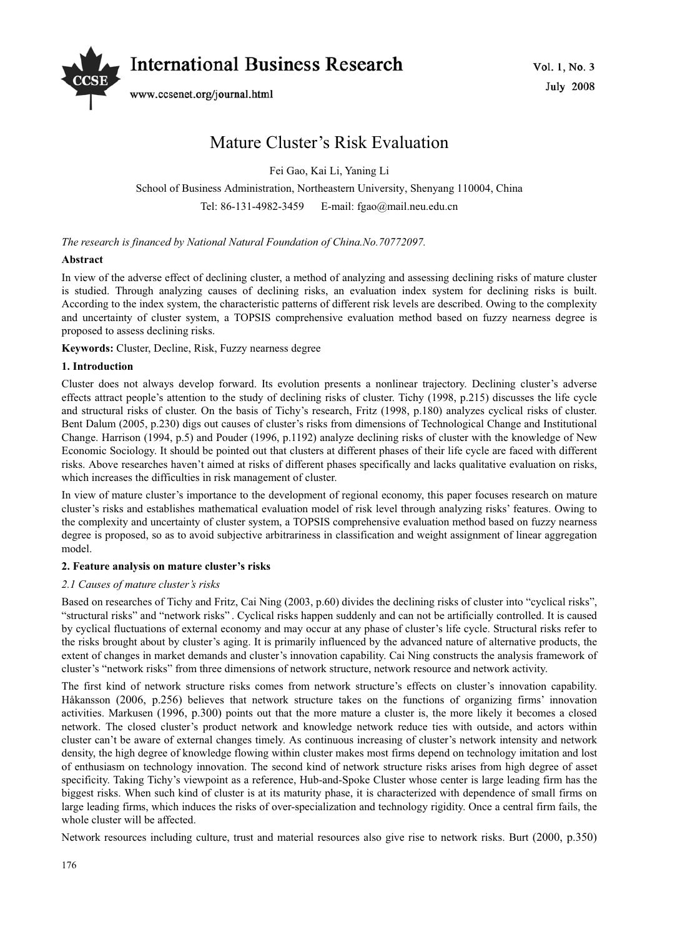

# Mature Cluster's Risk Evaluation

Fei Gao, Kai Li, Yaning Li

School of Business Administration, Northeastern University, Shenyang 110004, China

Tel: 86-131-4982-3459 E-mail: fgao@mail.neu.edu.cn

*The research is financed by National Natural Foundation of China.No.70772097.*

# **Abstract**

In view of the adverse effect of declining cluster, a method of analyzing and assessing declining risks of mature cluster is studied. Through analyzing causes of declining risks, an evaluation index system for declining risks is built. According to the index system, the characteristic patterns of different risk levels are described. Owing to the complexity and uncertainty of cluster system, a TOPSIS comprehensive evaluation method based on fuzzy nearness degree is proposed to assess declining risks.

**Keywords:** Cluster, Decline, Risk, Fuzzy nearness degree

# **1. Introduction**

Cluster does not always develop forward. Its evolution presents a nonlinear trajectory. Declining cluster's adverse effects attract people's attention to the study of declining risks of cluster. Tichy (1998, p.215) discusses the life cycle and structural risks of cluster. On the basis of Tichy's research, Fritz (1998, p.180) analyzes cyclical risks of cluster. Bent Dalum (2005, p.230) digs out causes of cluster's risks from dimensions of Technological Change and Institutional Change. Harrison (1994, p.5) and Pouder (1996, p.1192) analyze declining risks of cluster with the knowledge of New Economic Sociology. It should be pointed out that clusters at different phases of their life cycle are faced with different risks. Above researches haven't aimed at risks of different phases specifically and lacks qualitative evaluation on risks, which increases the difficulties in risk management of cluster.

In view of mature cluster's importance to the development of regional economy, this paper focuses research on mature cluster's risks and establishes mathematical evaluation model of risk level through analyzing risks' features. Owing to the complexity and uncertainty of cluster system, a TOPSIS comprehensive evaluation method based on fuzzy nearness degree is proposed, so as to avoid subjective arbitrariness in classification and weight assignment of linear aggregation model.

## **2. Feature analysis on mature cluster's risks**

## *2.1 Causes of mature cluster's risks*

Based on researches of Tichy and Fritz, Cai Ning (2003, p.60) divides the declining risks of cluster into "cyclical risks", "structural risks" and "network risks" . Cyclical risks happen suddenly and can not be artificially controlled. It is caused by cyclical fluctuations of external economy and may occur at any phase of cluster's life cycle. Structural risks refer to the risks brought about by cluster's aging. It is primarily influenced by the advanced nature of alternative products, the extent of changes in market demands and cluster's innovation capability. Cai Ning constructs the analysis framework of cluster's "network risks" from three dimensions of network structure, network resource and network activity.

The first kind of network structure risks comes from network structure's effects on cluster's innovation capability. Håkansson (2006, p.256) believes that network structure takes on the functions of organizing firms' innovation activities. Markusen (1996, p.300) points out that the more mature a cluster is, the more likely it becomes a closed network. The closed cluster's product network and knowledge network reduce ties with outside, and actors within cluster can't be aware of external changes timely. As continuous increasing of cluster's network intensity and network density, the high degree of knowledge flowing within cluster makes most firms depend on technology imitation and lost of enthusiasm on technology innovation. The second kind of network structure risks arises from high degree of asset specificity. Taking Tichy's viewpoint as a reference, Hub-and-Spoke Cluster whose center is large leading firm has the biggest risks. When such kind of cluster is at its maturity phase, it is characterized with dependence of small firms on large leading firms, which induces the risks of over-specialization and technology rigidity. Once a central firm fails, the whole cluster will be affected.

Network resources including culture, trust and material resources also give rise to network risks. Burt (2000, p.350)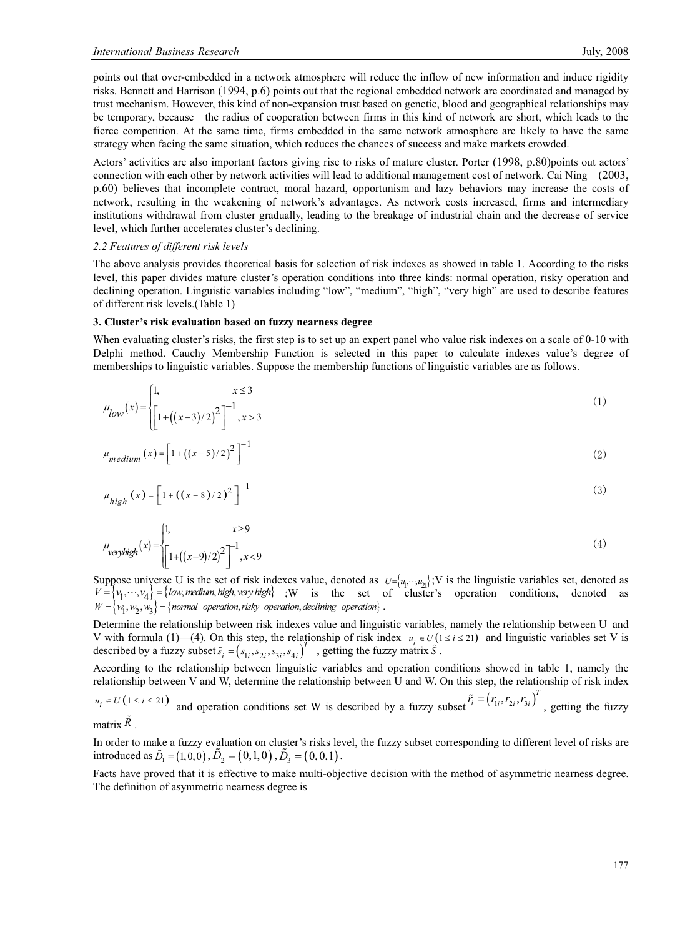points out that over-embedded in a network atmosphere will reduce the inflow of new information and induce rigidity risks. Bennett and Harrison (1994, p.6) points out that the regional embedded network are coordinated and managed by trust mechanism. However, this kind of non-expansion trust based on genetic, blood and geographical relationships may be temporary, because the radius of cooperation between firms in this kind of network are short, which leads to the fierce competition. At the same time, firms embedded in the same network atmosphere are likely to have the same strategy when facing the same situation, which reduces the chances of success and make markets crowded.

Actors' activities are also important factors giving rise to risks of mature cluster. Porter (1998, p.80)points out actors' connection with each other by network activities will lead to additional management cost of network. Cai Ning (2003, p.60) believes that incomplete contract, moral hazard, opportunism and lazy behaviors may increase the costs of network, resulting in the weakening of network's advantages. As network costs increased, firms and intermediary institutions withdrawal from cluster gradually, leading to the breakage of industrial chain and the decrease of service level, which further accelerates cluster's declining.

#### *2.2 Features of different risk levels*

The above analysis provides theoretical basis for selection of risk indexes as showed in table 1. According to the risks level, this paper divides mature cluster's operation conditions into three kinds: normal operation, risky operation and declining operation. Linguistic variables including "low", "medium", "high", "very high" are used to describe features of different risk levels.(Table 1)

#### **3. Cluster's risk evaluation based on fuzzy nearness degree**

When evaluating cluster's risks, the first step is to set up an expert panel who value risk indexes on a scale of 0-10 with Delphi method. Cauchy Membership Function is selected in this paper to calculate indexes value's degree of memberships to linguistic variables. Suppose the membership functions of linguistic variables are as follows.

$$
\mu_{low}(x) = \begin{cases} 1, & x \le 3 \\ \left[ 1 + \left( \frac{x-3}{2} \right)^2 \right]^{-1}, & x > 3 \end{cases} \tag{1}
$$

$$
\mu_{medium}(x) = \left[1 + ((x - 5)/2)^2\right]^{-1}
$$
\n(2)

$$
\mu_{high}(x) = \left[1 + ((x - 8)/2)^2\right]^{-1}
$$
\n(3)

$$
\mu_{\text{veryhigh}}(x) = \begin{cases} 1, & x \ge 9 \\ \begin{bmatrix} 1 + ((x-9)/2)^2 \end{bmatrix}^{-1}, & x < 9 \end{cases} \tag{4}
$$

Suppose universe U is the set of risk indexes value, denoted as  $U = (u_1, \dots, u_{21})$ ; V is the linguistic variables set, denoted as  $V = \{v_1, \dots, v_4\} = \{low, medium, high, very high\}$  ; W is the set of cluster's operation conditions, denoted as  $W = \langle w_1, w_2, w_3 \rangle = \{normal$  *operation, risky operation, declining operation* $\rangle$ .

Determine the relationship between risk indexes value and linguistic variables, namely the relationship between U and V with formula (1)—(4). On this step, the relationship of risk index  $u_i \in U(1 \le i \le 21)$  and linguistic variables set V is described by a fuzzy subset  $\tilde{s}_i = (s_{1i}, s_{2i}, s_{3i}, s_{4i})^T$ , getting the fuzzy matrix  $\tilde{s}$ .

According to the relationship between linguistic variables and operation conditions showed in table 1, namely the relationship between V and W, determine the relationship between U and W. On this step, the relationship of risk index  $u_i \in U(1 \le i \le 21)$  and operation conditions set W is described by a fuzzy subset  $\tilde{r}_i = (r_{1i}, r_{2i}, r_{3i})^T$ , getting the fuzzy matrix  $\tilde{R}$ .

In order to make a fuzzy evaluation on cluster's risks level, the fuzzy subset corresponding to different level of risks are introduced as  $\tilde{D}_1 = (1,0,0)$ ,  $\tilde{D}_2 = (0,1,0)$ ,  $\tilde{D}_3 = (0,0,1)$ .

Facts have proved that it is effective to make multi-objective decision with the method of asymmetric nearness degree. The definition of asymmetric nearness degree is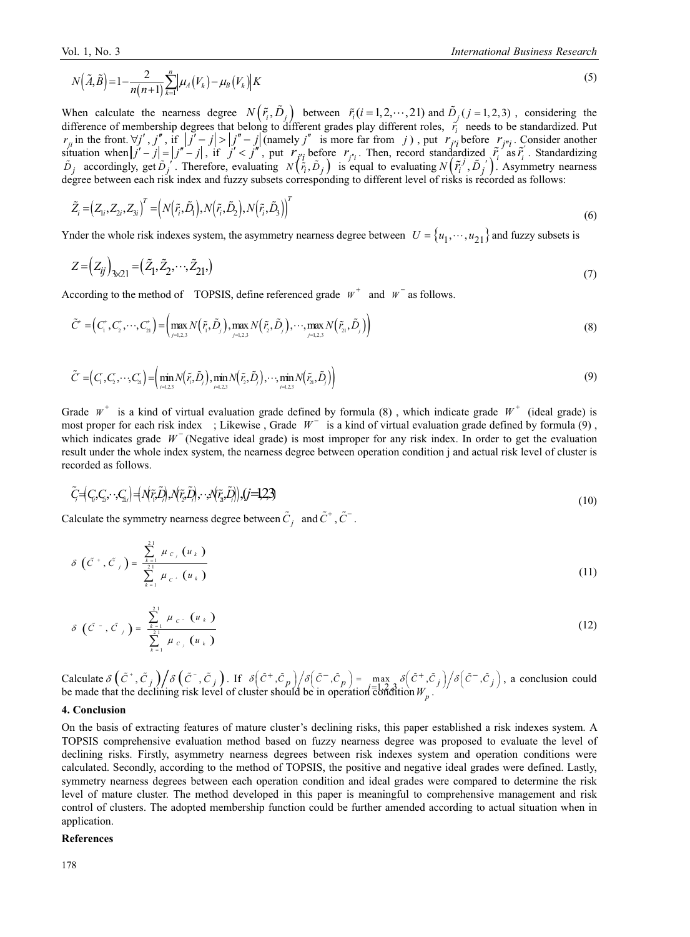$$
N\left(\tilde{A},\tilde{B}\right) = 1 - \frac{2}{n(n+1)}\sum_{k=1}^{n} \left|\mu_A\left(V_k\right) - \mu_B\left(V_k\right)\right|K\tag{5}
$$

When calculate the nearness degree  $N(\tilde{r}_i, \tilde{D}_j)$  between  $\tilde{r}_i(i=1, 2, \dots, 21)$  and  $\tilde{D}_j(j=1, 2, 3)$ , considering the difference of membership degrees that belong to different grades play different roles,  $\vec{r}_i$  needs to be standardized. Put  $r_{ji}$  in the front.  $\forall j', j'',$  if  $|j'-j| > |j''-j|$  (namely *j''* is more far from *j*), put  $r_{j'i}$  before  $r_{j'i}$ . Consider another situation when  $|j' - j| = |j'' - j|$ , if  $j' < j''$ , put  $r_{ji}$  before  $r_{j''_i}$ . Then, record standardized  $\tilde{r}_i$  as  $\tilde{r}_i$ . Standardizing  $\tilde{D}_j$  accordingly, get  $\tilde{D}_j$ . Therefore, evaluating  $N(\tilde{r}_i, \tilde{D}_j)$  is equal to evaluating  $N(\tilde{r}_i, \tilde{D}_j)$ . Asymmetry nearness degree between each risk index and fuzzy subsets corresponding to different level of risks is recorded as follows:

$$
\tilde{Z}_i = (Z_{1i}, Z_{2i}, Z_{3i})^T = \left( N(\tilde{r}_i, \tilde{D}_1), N(\tilde{r}_i, \tilde{D}_2), N(\tilde{r}_i, \tilde{D}_3) \right)^T
$$
\n
$$
(6)
$$

Ynder the whole risk indexes system, the asymmetry nearness degree between  $U = \{u_1, \dots, u_{21}\}\$ and fuzzy subsets is

$$
Z = (Z_{ij})_{3 \times 21} = (\tilde{Z}_1, \tilde{Z}_2, \cdots, \tilde{Z}_{21},)
$$
\n(7)

According to the method of TOPSIS, define referenced grade  $W^+$  and  $W^-$  as follows.

$$
\tilde{C}^* = \left(C_1^*, C_2^*, \cdots, C_{21}^*\right) = \left(\max_{j=1,2,3} N\left(\tilde{r}_1, \tilde{D}_j\right), \max_{j=1,2,3} N\left(\tilde{r}_2, \tilde{D}_j\right), \cdots, \max_{j=1,2,3} N\left(\tilde{r}_2, \tilde{D}_j\right)\right) \tag{8}
$$

$$
\tilde{C} = (C_1, C_2, \cdots, C_n) = \left(\min_{i=1,2,3} N(\tilde{r}_i, \tilde{D}_i), \min_{i=1,2,3} N(\tilde{r}_2, \tilde{D}_i), \cdots, \min_{i=1,2,3} N(\tilde{r}_2, \tilde{D}_i)\right)
$$
\n(9)

Grade  $W^+$  is a kind of virtual evaluation grade defined by formula (8), which indicate grade  $W^+$  (ideal grade) is most proper for each risk index ; Likewise, Grade  $W^-$  is a kind of virtual evaluation grade defined by formula (9), which indicates grade  $W^-$  (Negative ideal grade) is most improper for any risk index. In order to get the evaluation result under the whole index system, the nearness degree between operation condition j and actual risk level of cluster is recorded as follows.

$$
\tilde{C} = (C_i, C_i, \cdot, C_{\lambda_i}) = (\mathcal{N}\tilde{r}, \tilde{D}_i), \mathcal{N}\tilde{r}, \tilde{D}_i), \cdot, \mathcal{N}\tilde{r}_{\lambda_i}, \tilde{D}_i), (j = 1, 2, 3)
$$
\n
$$
(10)
$$

Calculate the symmetry nearness degree between  $\tilde{C}_j$  and  $\tilde{C}^+$ ,  $\tilde{C}^-$ .

$$
\delta\left(\tilde{C}^{+},\tilde{C}_{j}\right)=\frac{\sum_{k=1}^{2^{j}}\mu_{c_{j}}\left(u_{k}\right)}{\sum_{k=1}^{2^{j}}\mu_{c^{+}}\left(u_{k}\right)}
$$
\n(11)

$$
\delta\left(\tilde{C}^{-},\tilde{C}_{j}\right)=\frac{\sum\limits_{k=1}^{2^{1}}\mu_{c} \cdot \left(u_{k}\right)}{\sum\limits_{k=1}^{2^{1}}\mu_{c_{j}}\left(u_{k}\right)}
$$
\n(12)

Calculate  $\delta\left(\tilde{C}^+, \tilde{C}_j\right)/\delta\left(\tilde{C}^-, \tilde{C}_j\right)$ . If  $\delta\left(\tilde{C}^+, \tilde{C}_p\right)/\delta\left(\tilde{C}^-, \tilde{C}_p\right) = \max_{\tilde{C} \in \mathcal{C}} \delta\left(\tilde{C}^+, \tilde{C}_j\right)/\delta\left(\tilde{C}^-, \tilde{C}_j\right)$ , a conclusion could be made that the declining risk level of cluster should be in operation  $\overline{\text{co}}$  of dition  $W_p$ .

#### **4. Conclusion**

On the basis of extracting features of mature cluster's declining risks, this paper established a risk indexes system. A TOPSIS comprehensive evaluation method based on fuzzy nearness degree was proposed to evaluate the level of declining risks. Firstly, asymmetry nearness degrees between risk indexes system and operation conditions were calculated. Secondly, according to the method of TOPSIS, the positive and negative ideal grades were defined. Lastly, symmetry nearness degrees between each operation condition and ideal grades were compared to determine the risk level of mature cluster. The method developed in this paper is meaningful to comprehensive management and risk control of clusters. The adopted membership function could be further amended according to actual situation when in application.

#### **References**